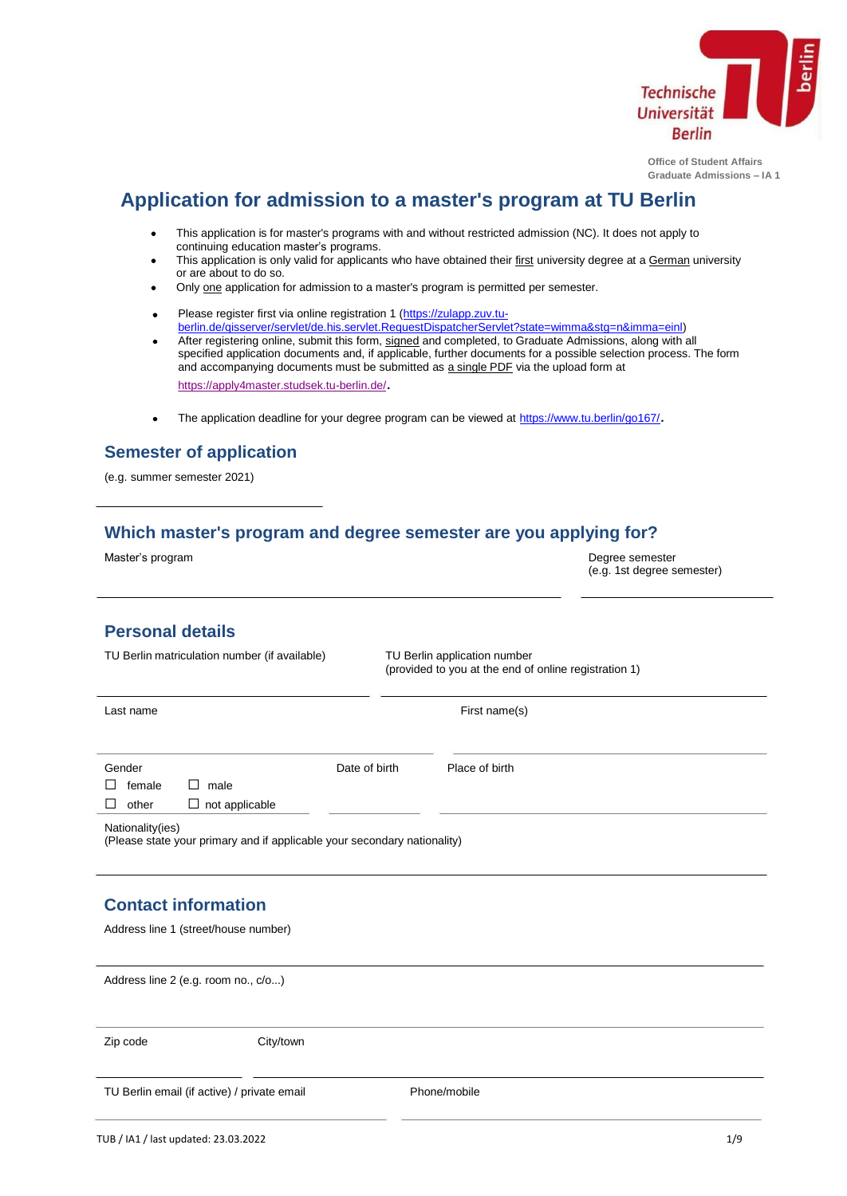

**Office of Student Affairs Graduate Admissions – IA 1**

(e.g. 1st degree semester)

# **Application for admission to a master's program at TU Berlin**

- This application is for master's programs with and without restricted admission (NC). It does not apply to  $\bullet$ continuing education master's programs.
- This application is only valid for applicants who have obtained their first university degree at a German university  $\bullet$ or are about to do so.
- Only one application for admission to a master's program is permitted per semester.
- ÷ Please register first via online registration 1 [\(https://zulapp.zuv.tu](https://zulapp.zuv.tu-berlin.de/qisserver/servlet/de.his.servlet.RequestDispatcherServlet?state=wimma&stg=n&imma=einl)[berlin.de/qisserver/servlet/de.his.servlet.RequestDispatcherServlet?state=wimma&stg=n&imma=einl\)](https://zulapp.zuv.tu-berlin.de/qisserver/servlet/de.his.servlet.RequestDispatcherServlet?state=wimma&stg=n&imma=einl)
- After registering online, submit this form, signed and completed, to Graduate Admissions, along with all  $\bullet$ specified application documents and, if applicable, further documents for a possible selection process. The form and accompanying documents must be submitted as a single PDF via the upload form at <https://apply4master.studsek.tu-berlin.de/>[.](https://apply4master.studsek.tu-berlin.de/)
- The application deadline for your degree program can be viewed at <https://www.tu.berlin/go167/>[.](https://www.tu.berlin/go167/)  $\bullet$

# **Semester of application**

(e.g. summer semester 2021)

# **Which master's program and degree semester are you applying for?**

Master's program and the control of the control of the control of the control of the control of the control of the control of the control of the control of the control of the control of the control of the control of the co

| <b>Personal details</b>                       |                                                                          |               |                                                                                       |  |
|-----------------------------------------------|--------------------------------------------------------------------------|---------------|---------------------------------------------------------------------------------------|--|
| TU Berlin matriculation number (if available) |                                                                          |               | TU Berlin application number<br>(provided to you at the end of online registration 1) |  |
| Last name                                     |                                                                          |               | First name(s)                                                                         |  |
| Gender                                        |                                                                          | Date of birth | Place of birth                                                                        |  |
| female<br>П.<br>$\mathsf{L}$                  | male                                                                     |               |                                                                                       |  |
| other<br>$\mathsf{L}$                         | $\Box$ not applicable                                                    |               |                                                                                       |  |
| Nationality(ies)                              | (Please state your primary and if applicable your secondary nationality) |               |                                                                                       |  |
|                                               |                                                                          |               |                                                                                       |  |
| <b>Contact information</b>                    |                                                                          |               |                                                                                       |  |
| Address line 1 (street/house number)          |                                                                          |               |                                                                                       |  |
| Address line 2 (e.g. room no., c/o)           |                                                                          |               |                                                                                       |  |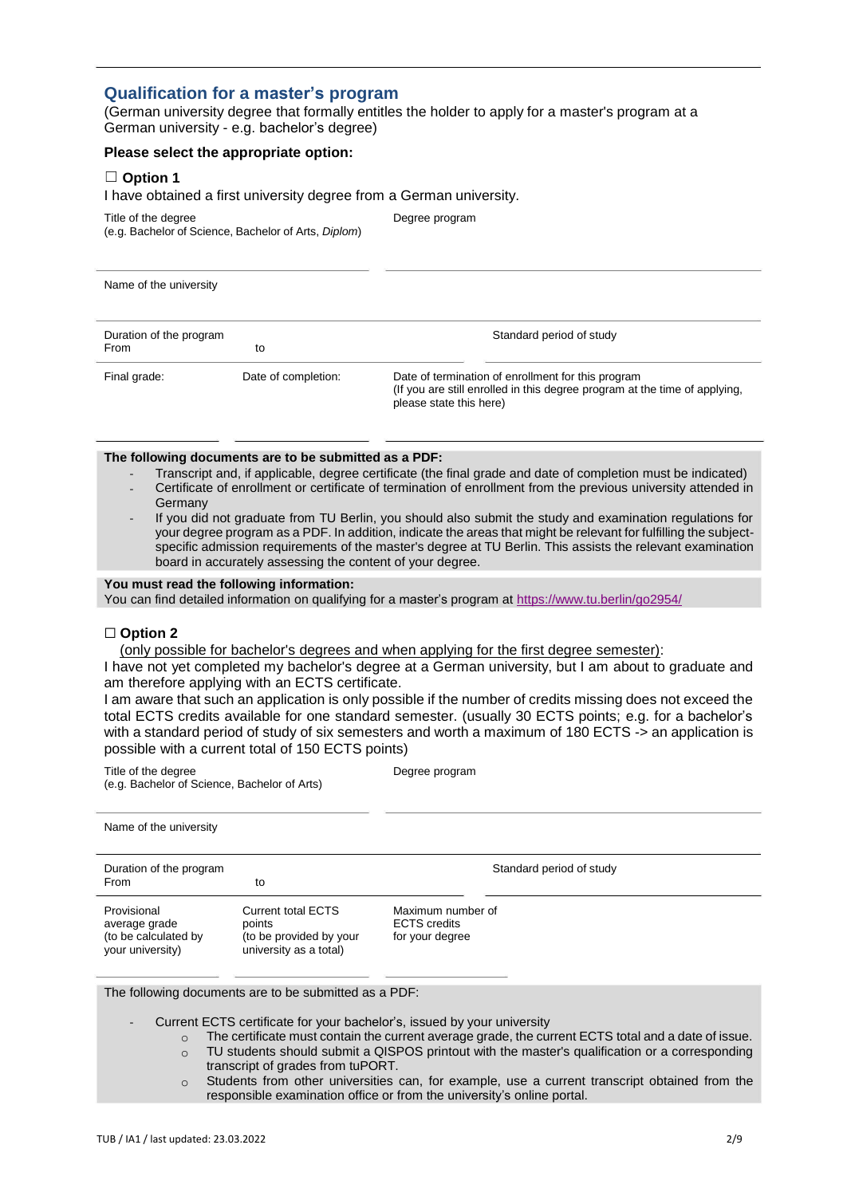### **Qualification for a master's program**

(German university degree that formally entitles the holder to apply for a master's program at a German university - e.g. bachelor's degree)

#### **Please select the appropriate option:**

#### ☐ **Option 1**

I have obtained a first university degree from a German university.

Title of the degree **Degree program** (e.g. Bachelor of Science, Bachelor of Arts, *Diplom*)

Name of the university

| Duration of the program<br>From | to                  | Standard period of study                                                                                                                                    |
|---------------------------------|---------------------|-------------------------------------------------------------------------------------------------------------------------------------------------------------|
| Final grade:                    | Date of completion: | Date of termination of enrollment for this program<br>(If you are still enrolled in this degree program at the time of applying,<br>please state this here) |

#### **The following documents are to be submitted as a PDF:**

- - Transcript and, if applicable, degree certificate (the final grade and date of completion must be indicated) Certificate of enrollment or certificate of termination of enrollment from the previous university attended in **Germany**
- If you did not graduate from TU Berlin, you should also submit the study and examination regulations for your degree program as a PDF. In addition, indicate the areas that might be relevant for fulfilling the subjectspecific admission requirements of the master's degree at TU Berlin. This assists the relevant examination board in accurately assessing the content of your degree.

#### **You must read the following information:**

You can find detailed inform[at](https://www.tu.berlin/go2954/)ion on qualifying for a master's program at <https://www.tu.berlin/go2954/>

#### ☐ **Option 2**

(only possible for bachelor's degrees and when applying for the first degree semester):

I have not yet completed my bachelor's degree at a German university, but I am about to graduate and am therefore applying with an ECTS certificate.

I am aware that such an application is only possible if the number of credits missing does not exceed the total ECTS credits available for one standard semester. (usually 30 ECTS points; e.g. for a bachelor's with a standard period of study of six semesters and worth a maximum of 180 ECTS -> an application is possible with a current total of 150 ECTS points)

Title of the degree Degree program (e.g. Bachelor of Science, Bachelor of Arts)

Name of the university

Duration of the program  $\Box$  The program Standard period of study From to to Provisional Current total ECTS points (to be provided by your university as a total) Maximum number of ECTS credits for your degree average grade (to be calculated by your university)

The following documents are to be submitted as a PDF:

- Current ECTS certificate for your bachelor's, issued by your university
	- o The certificate must contain the current average grade, the current ECTS total and a date of issue.
		- o TU students should submit a QISPOS printout with the master's qualification or a corresponding transcript of grades from tuPORT.
		- $\circ$  Students from other universities can, for example, use a current transcript obtained from the responsible examination office or from the university's online portal.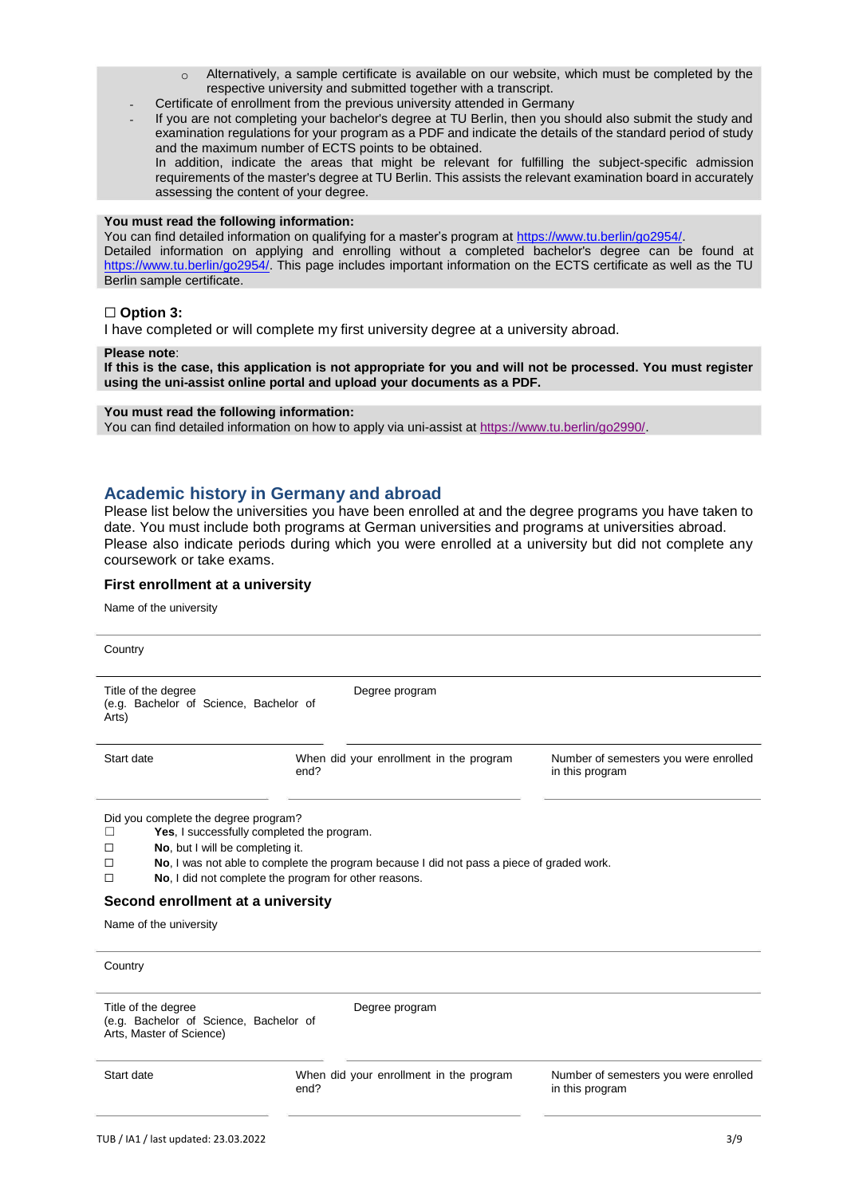- $\circ$  Alternatively, a sample certificate is available on our website, which must be completed by the respective university and submitted together with a transcript.
- Certificate of enrollment from the previous university attended in Germany
- If you are not completing your bachelor's degree at TU Berlin, then you should also submit the study and examination regulations for your program as a PDF and indicate the details of the standard period of study and the maximum number of ECTS points to be obtained.

In addition, indicate the areas that might be relevant for fulfilling the subject-specific admission requirements of the master's degree at TU Berlin. This assists the relevant examination board in accurately assessing the content of your degree.

#### **You must read the following information:**

You can find detailed inform[at](https://www.tu.berlin/go2954/)ion on qualifying for a master's program at [https://www.tu.berlin/go2954/.](https://www.tu.berlin/go2954/) Detailed information on applying and enrolling without a completed bachelor's degree can be found at [https://www.tu.berlin/go2954/.](https://www.tu.berlin/go2954/) This page includes important information on the ECTS certificate as well as the TU Berlin sample certificate.

#### ☐ **Option 3:**

I have completed or will complete my first university degree at a university abroad.

#### **Please note**:

If this is the case, this application is not appropriate for you and will not be processed. You must register **using the uni-assist online portal and upload your documents as a PDF.**

#### **You must read the following information:**

You can find detailed information on how to apply via uni-assist [at](https://www.tu.berlin/go2990/) [https://www.tu.berlin/go2990/.](https://www.tu.berlin/go2990/)

### **Academic history in Germany and abroad**

Please list below the universities you have been enrolled at and the degree programs you have taken to date. You must include both programs at German universities and programs at universities abroad. Please also indicate periods during which you were enrolled at a university but did not complete any coursework or take exams.

#### **First enrollment at a university**

Name of the university

| Country                                                                                                                                                                                                        |                                                                                                                                                    |                                                          |
|----------------------------------------------------------------------------------------------------------------------------------------------------------------------------------------------------------------|----------------------------------------------------------------------------------------------------------------------------------------------------|----------------------------------------------------------|
| Title of the degree<br>(e.g. Bachelor of Science, Bachelor of<br>Arts)                                                                                                                                         | Degree program                                                                                                                                     |                                                          |
| Start date                                                                                                                                                                                                     | When did your enrollment in the program<br>end?                                                                                                    | Number of semesters you were enrolled<br>in this program |
| Did you complete the degree program?<br>Yes, I successfully completed the program.<br>П<br>No, but I will be completing it.<br>$\Box$<br>п<br>П<br>Second enrollment at a university<br>Name of the university | No, I was not able to complete the program because I did not pass a piece of graded work.<br>No, I did not complete the program for other reasons. |                                                          |
| Country                                                                                                                                                                                                        |                                                                                                                                                    |                                                          |
| Title of the degree<br>(e.g. Bachelor of Science, Bachelor of<br>Arts, Master of Science)                                                                                                                      | Degree program                                                                                                                                     |                                                          |
| Start date                                                                                                                                                                                                     | When did your enrollment in the program<br>end?                                                                                                    | Number of semesters you were enrolled<br>in this program |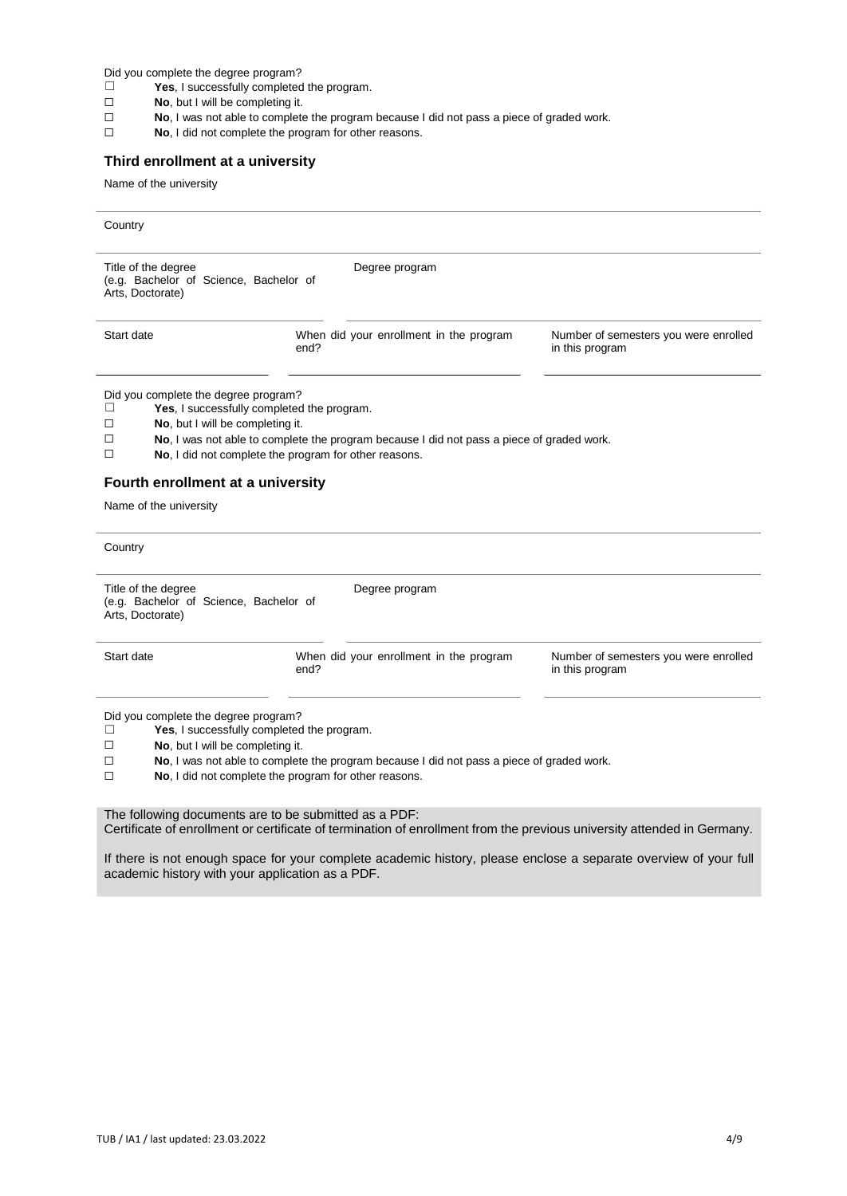Did you complete the degree program?

- ☐ **Yes**, I successfully completed the program.
- $\Box$ **No**, but I will be completing it.
- $\Box$ **No**, I was not able to complete the program because I did not pass a piece of graded work.
- $\Box$ **No**, I did not complete the program for other reasons.

### **Third enrollment at a university**

Name of the university

| Country                                                                                      |                                                                                                                                                                                                  |                                                          |  |
|----------------------------------------------------------------------------------------------|--------------------------------------------------------------------------------------------------------------------------------------------------------------------------------------------------|----------------------------------------------------------|--|
| Title of the degree<br>(e.g. Bachelor of Science, Bachelor of<br>Arts, Doctorate)            | Degree program                                                                                                                                                                                   |                                                          |  |
| Start date                                                                                   | When did your enrollment in the program<br>end?                                                                                                                                                  | Number of semesters you were enrolled<br>in this program |  |
| Did you complete the degree program?<br>П<br>No, but I will be completing it.<br>□<br>□<br>□ | Yes, I successfully completed the program.<br>No, I was not able to complete the program because I did not pass a piece of graded work.<br>No, I did not complete the program for other reasons. |                                                          |  |
| Fourth enrollment at a university<br>Name of the university                                  |                                                                                                                                                                                                  |                                                          |  |
| Country                                                                                      |                                                                                                                                                                                                  |                                                          |  |
| Title of the degree<br>(e.g. Bachelor of Science, Bachelor of<br>Arts, Doctorate)            | Degree program                                                                                                                                                                                   |                                                          |  |
| Start date                                                                                   | When did your enrollment in the program<br>end?                                                                                                                                                  | Number of semesters you were enrolled<br>in this program |  |
| Did you complete the degree program?<br>П<br>No, but I will be completing it.<br>□<br>□<br>□ | Yes, I successfully completed the program.<br>No, I was not able to complete the program because I did not pass a piece of graded work.<br>No, I did not complete the program for other reasons. |                                                          |  |
|                                                                                              | The following documents are to be submitted as a PDF:<br>Certificate of enrollment or certificate of termination of enrollment from the previous university attended in Germany.                 |                                                          |  |

If there is not enough space for your complete academic history, please enclose a separate overview of your full academic history with your application as a PDF.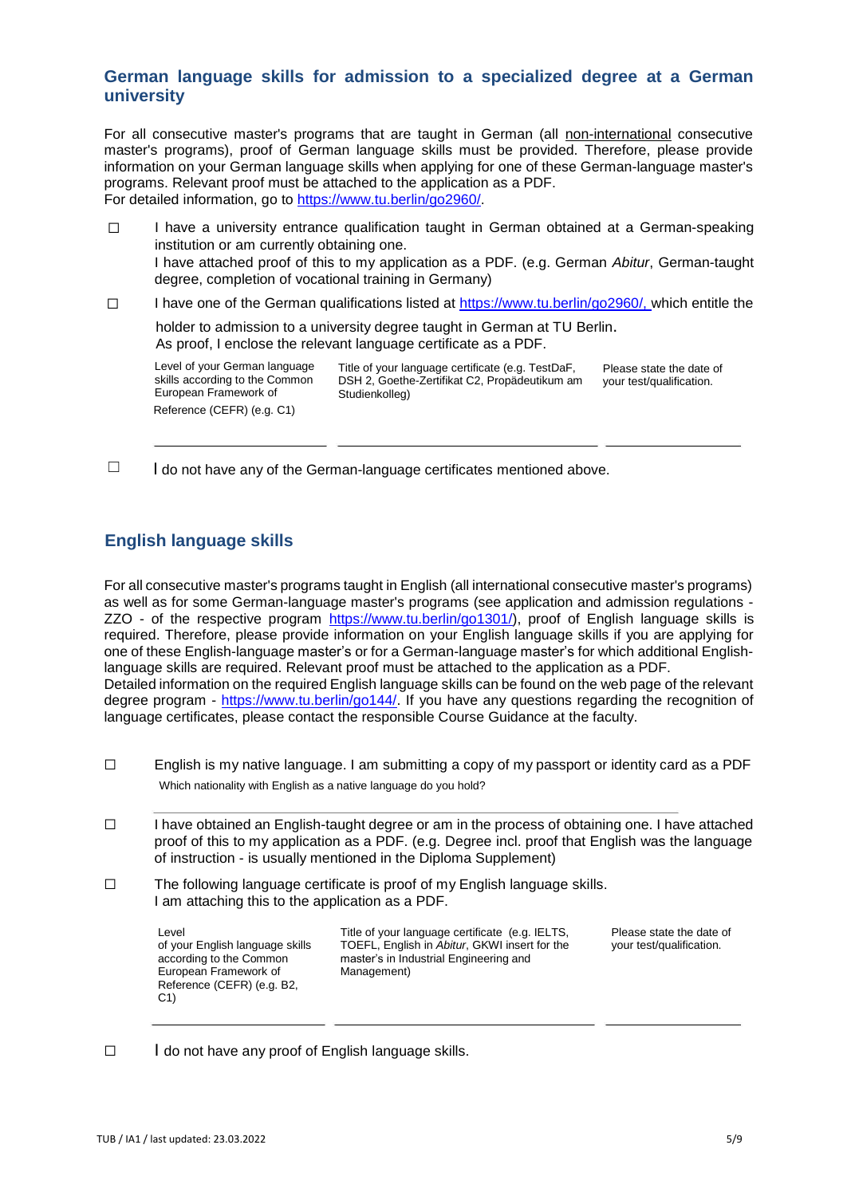### **German language skills for admission to a specialized degree at a German university**

For all consecutive master's programs that are taught in German (all non-international consecutive master's programs), proof of German language skills must be provided. Therefore, please provide information on your German language skills when applying for one of these German-language master's programs. Relevant proof must be attached to the application as a PDF. For detailed information, go to [https://www.tu.berlin/go2960/.](https://www.tu.berlin/go2960/)

☐ I have a university entrance qualification taught in German obtained at a German-speaking institution or am currently obtaining one. I have attached proof of this to my application as a PDF. (e.g. German *Abitur*, German-taught degree, completion of vocational training in Germany) ☐ I have one of the German qualifications listed at [https://www.tu.berlin/go2960/,](https://www.tu.berlin/go2960/) [w](https://www.tu.berlin/go2960/)hich entitle the

holder to admission to a university degree taught in German at TU Berlin. As proof, I enclose the relevant language certificate as a PDF.

Level of your German language skills according to the Common European Framework of Reference (CEFR) (e.g. C1)

Title of your language certificate (e.g. TestDaF, DSH 2, Goethe-Zertifikat C2, Propädeutikum am Studienkolleg)

Please state the date of your test/qualification.

 $\Box$  I do not have any of the German-language certificates mentioned above.

# **English language skills**

For all consecutive master's programs taught in English (all international consecutive master's programs) as well as for some German-language master's programs (see application and admission regulations ZZO - of the respective program [https://www.tu.berlin/go1301/\),](https://www.tu.berlin/go1301/) proof of English language skills is required. Therefore, please provide information on your English language skills if you are applying for one of these English-language master's or for a German-language master's for which additional Englishlanguage skills are required. Relevant proof must be attached to the application as a PDF. Detailed information on the required English language skills can be found on the web page of the relevant degree program - [https://www.tu.berlin/go144/.](https://www.tu.berlin/go144/) If you have any questions regarding the recognition of language certificates, please contact the responsible Course Guidance at the faculty.

- $\Box$ English is my native language. I am submitting a copy of my passport or identity card as a PDF Which nationality with English as a native language do you hold?
- $\Box$ I have obtained an English-taught degree or am in the process of obtaining one. I have attached proof of this to my application as a PDF. (e.g. Degree incl. proof that English was the language of instruction - is usually mentioned in the Diploma Supplement)
- ☐ The following language certificate is proof of my English language skills. I am attaching this to the application as a PDF.

according to the Common European Framework of Reference (CEFR) (e.g. B2, C1)

Level Level **Title of your language certificate** (e.g. IELTS, of your Language certificate (e.g. IELTS, of your English language skills TOEFL. English in *Abitur*. GKWI insert for the of your English language skills TOEFL, English in Abitur, GKWI insert for the your test/qualification. master's in Industrial Engineering and Management)

Please state the date of<br>your test/qualification.

☐ I do not have any proof of English language skills.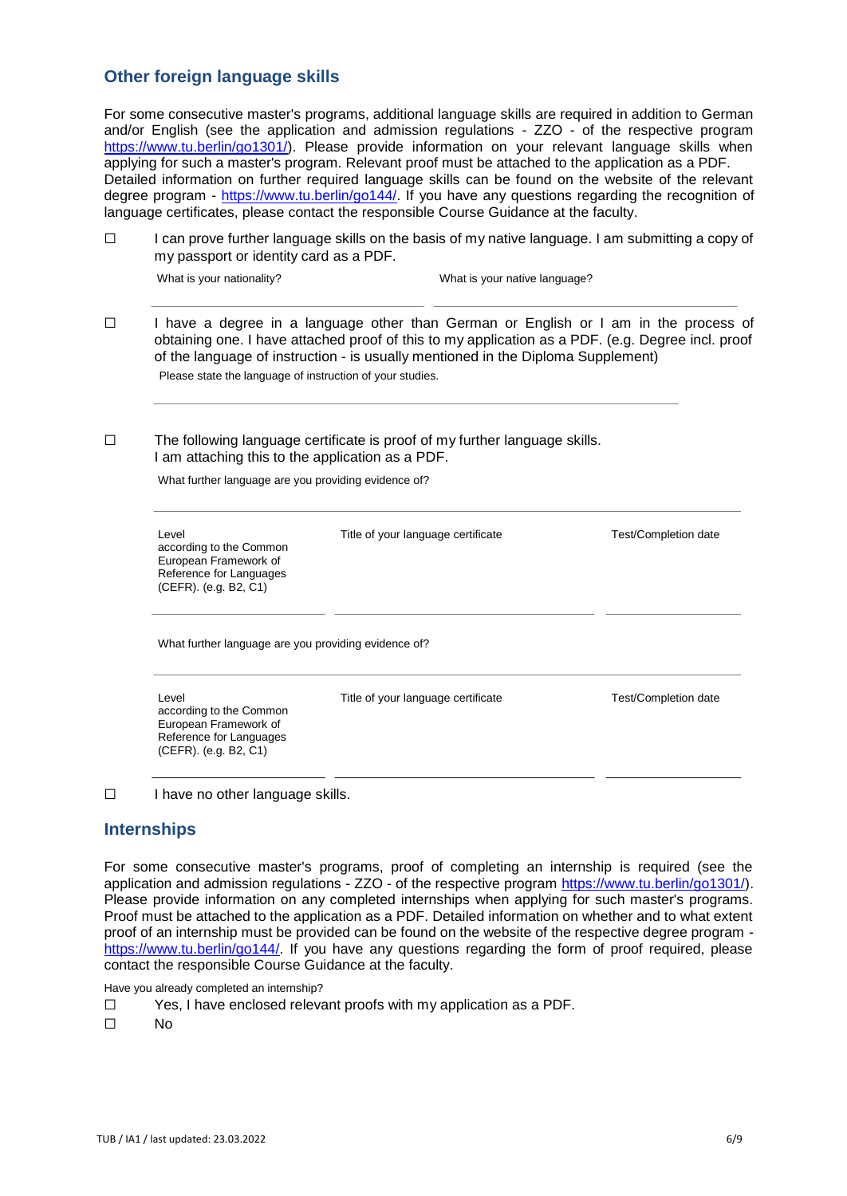### **Other foreign language skills**

For some consecutive master's programs, additional language skills are required in addition to German and/or English (see the application and admission regulations - ZZO - of the respective program [https://www.tu.berlin/go1301/\).](https://www.tu.berlin/go1301/) Please provide information on your relevant language skills when applying for such a master's program. Relevant proof must be attached to the application as a PDF. Detailed information on further required language skills can be found on the website of the relevant degree program - [https://www.tu.berlin/go144/.](https://www.tu.berlin/go144/) If you have any questions regarding the recognition of language certificates, please contact the responsible Course Guidance at the faculty.

☐ I can prove further language skills on the basis of my native language. I am submitting a copy of my passport or identity card as a PDF.

What is your nationality? What is your native language?

☐ I have a degree in a language other than German or English or I am in the process of obtaining one. I have attached proof of this to my application as a PDF. (e.g. Degree incl. proof of the language of instruction - is usually mentioned in the Diploma Supplement) Please state the language of instruction of your studies.

☐ The following language certificate is proof of my further language skills. I am attaching this to the application as a PDF.

What further language are you providing evidence of?

| Level<br>according to the Common<br>European Framework of<br>Reference for Languages<br>(CEFR). (e.g. B2, C1) | Title of your language certificate | <b>Test/Completion date</b> |
|---------------------------------------------------------------------------------------------------------------|------------------------------------|-----------------------------|
| What further language are you providing evidence of?                                                          |                                    |                             |
| Level<br>according to the Common<br>European Framework of<br>Reference for Languages                          | Title of your language certificate | Test/Completion date        |

☐ I have no other language skills.

(CEFR). (e.g. B2, C1)

### **Internships**

For some consecutive master's programs, proof of completing an internship is required (see the application and admission regulations - ZZO - of the respective program [https://www.tu.berlin/go1301/\).](https://www.tu.berlin/go1301/) Please provide information on any completed internships when applying for such master's programs. Proof must be attached to the application as a PDF. Detailed information on whether and to what extent proof of an internship must be provided can be found on the website of the respective degree program [https://www.tu.berlin/go144/.](https://www.tu.berlin/go144/) If you have any questions regarding the form of proof required, please contact the responsible Course Guidance at the faculty.

Have you already completed an internship?

- $\Box$ Yes, I have enclosed relevant proofs with my application as a PDF.
- $\Box$ No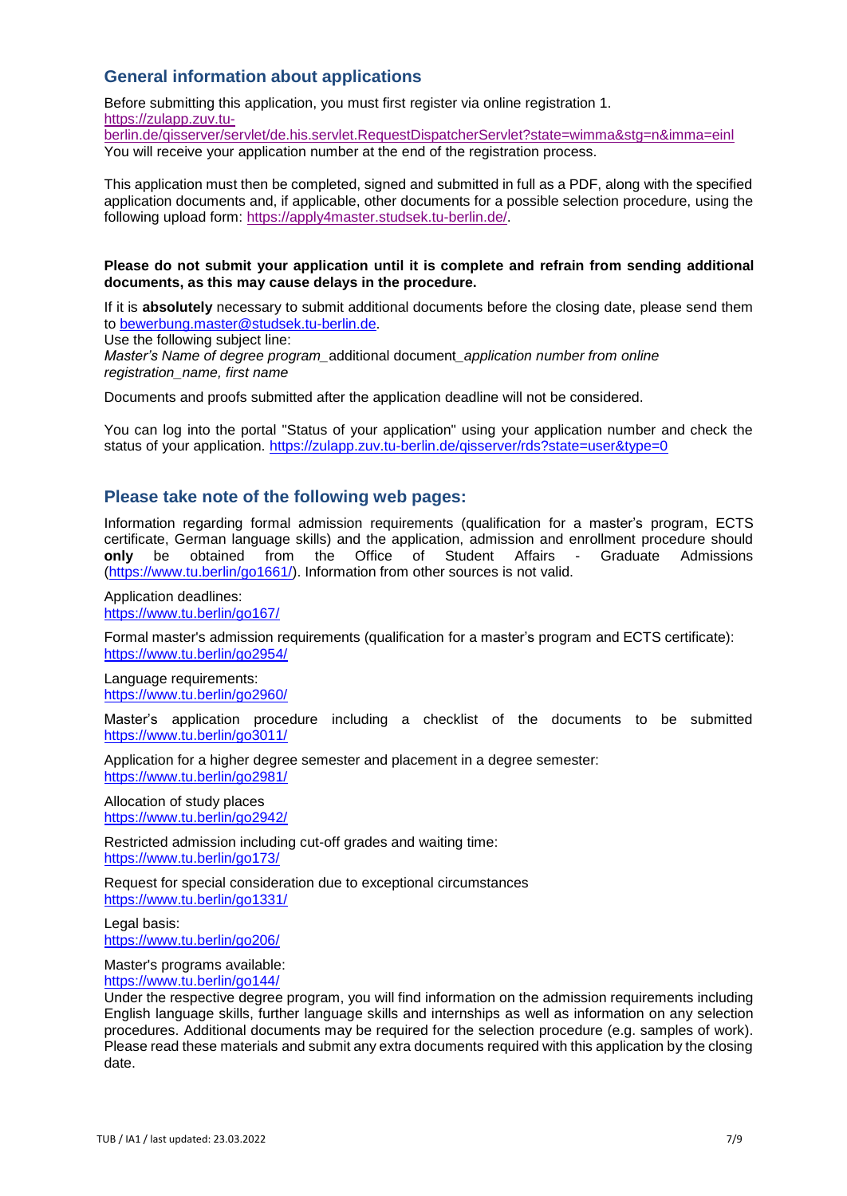## **General information about applications**

Before submitting this application, you must first register via online registration 1. [https://zulapp.zuv.tu-](https://zulapp.zuv.tu-berlin.de/qisserver/servlet/de.his.servlet.RequestDispatcherServlet?state=wimma&stg=n&imma=einl)

[berlin.de/qisserver/servlet/de.his.servlet.RequestDispatcherServlet?state=wimma&stg=n&imma=einl](https://zulapp.zuv.tu-berlin.de/qisserver/servlet/de.his.servlet.RequestDispatcherServlet?state=wimma&stg=n&imma=einl) You will receive your application number at the end of the registration process.

This application must then be completed, signed and submitted in full as a PDF, along with the specified application documents and, if applicable, other documents for a possible selection procedure, using the following upload for[m:](https://apply4master.studsek.tu-berlin.de/) [https://apply4master.studsek.tu-berlin.de/.](https://apply4master.studsek.tu-berlin.de/)

### **Please do not submit your application until it is complete and refrain from sending additional documents, as this may cause delays in the procedure.**

If it is **absolutely** necessary to submit additional documents before the closing date, please send them [to](mailto:bewerbung.master@studsek.tu-berlin.de) [bewerbung.master@studsek.tu-berlin.de.](mailto:bewerbung.master@studsek.tu-berlin.de)

Use the following subject line:

*Master's Name of degree program\_*additional document*\_application number from online registration\_name, first name*

Documents and proofs submitted after the application deadline will not be considered.

You can log into the portal "Status of your application" using your application number and check the status of your applicatio[n.](https://zulapp.zuv.tu-berlin.de/qisserver/rds?state=user&type=0) https://zulapp.zuv.tu-berlin.de/gisserver/rds?state=user&type=0

### **Please take note of the following web pages:**

Information regarding formal admission requirements (qualification for a master's program, ECTS certificate, German language skills) and the application, admission and enrollment procedure should **only** be obtained from the Office of Student Affairs - Graduate Admissions [\(https://www.tu.berlin/go1661/\).](https://www.tu.berlin/go1661/) Information from other sources is not valid.

Application deadlines: <https://www.tu.berlin/go167/>

Formal master's admission requirements (qualification for a master's program and ECTS certificate): <https://www.tu.berlin/go2954/>

Language requirements: <https://www.tu.berlin/go2960/>

Master's application procedure including a checklist of the documents to be submitted <https://www.tu.berlin/go3011/>

Application for a higher degree semester and placement in a degree semester: <https://www.tu.berlin/go2981/>

Allocation of study places <https://www.tu.berlin/go2942/>

Restricted admission including cut-off grades and waiting time: <https://www.tu.berlin/go173/>

Request for special consideration due to exceptional circumstances <https://www.tu.berlin/go1331/>

Legal basis: <https://www.tu.berlin/go206/>

Master's programs available:

<https://www.tu.berlin/go144/>

Under the respective degree program, you will find information on the admission requirements including English language skills, further language skills and internships as well as information on any selection procedures. Additional documents may be required for the selection procedure (e.g. samples of work). Please read these materials and submit any extra documents required with this application by the closing date.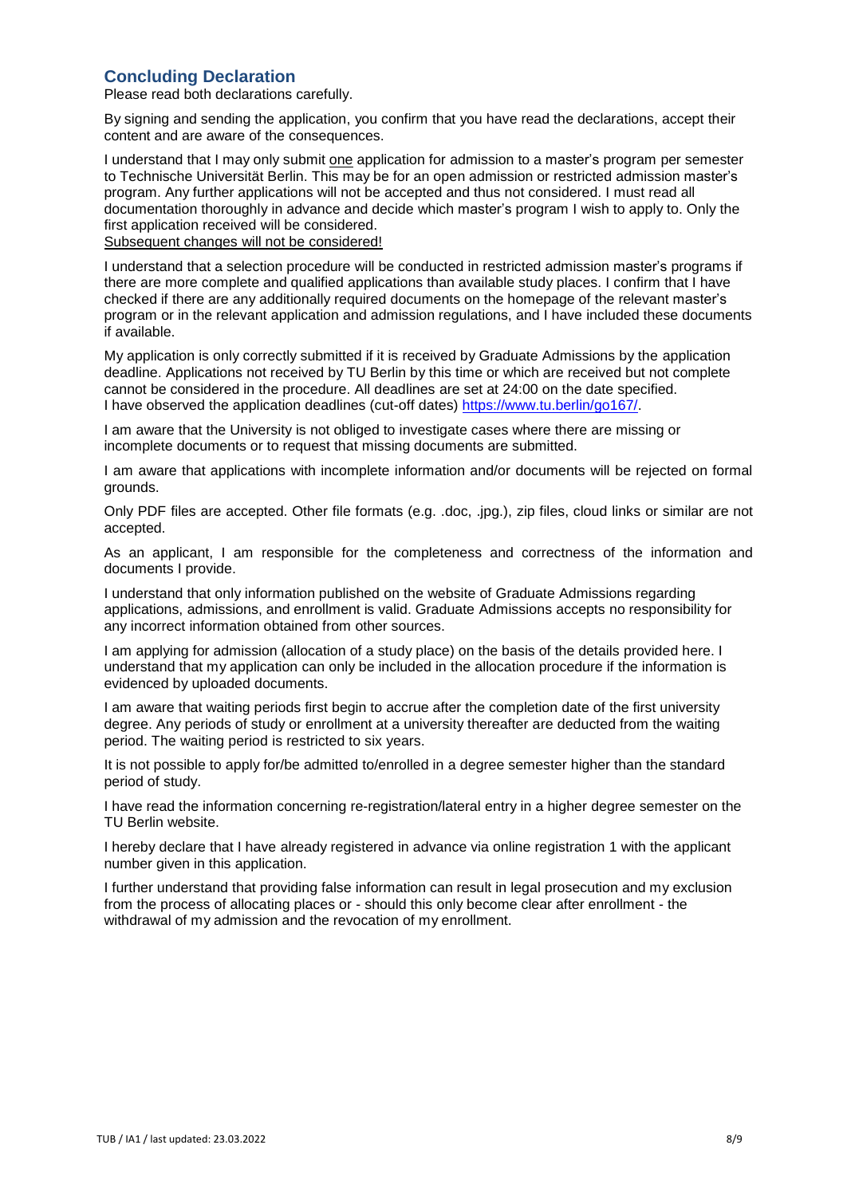### **Concluding Declaration**

Please read both declarations carefully.

By signing and sending the application, you confirm that you have read the declarations, accept their content and are aware of the consequences.

I understand that I may only submit one application for admission to a master's program per semester to Technische Universität Berlin. This may be for an open admission or restricted admission master's program. Any further applications will not be accepted and thus not considered. I must read all documentation thoroughly in advance and decide which master's program I wish to apply to. Only the first application received will be considered. Subsequent changes will not be considered!

I understand that a selection procedure will be conducted in restricted admission master's programs if there are more complete and qualified applications than available study places. I confirm that I have checked if there are any additionally required documents on the homepage of the relevant master's program or in the relevant application and admission regulations, and I have included these documents if available.

My application is only correctly submitted if it is received by Graduate Admissions by the application deadline. Applications not received by TU Berlin by this time or which are received but not complete cannot be considered in the procedure. All deadlines are set at 24:00 on the date specified. I have observed the application deadlines (cut-off dates) [https://www.tu.berlin/go167/.](https://www.tu.berlin/go167/)

I am aware that the University is not obliged to investigate cases where there are missing or incomplete documents or to request that missing documents are submitted.

I am aware that applications with incomplete information and/or documents will be rejected on formal grounds.

Only PDF files are accepted. Other file formats (e.g. .doc, .jpg.), zip files, cloud links or similar are not accepted.

As an applicant, I am responsible for the completeness and correctness of the information and documents I provide.

I understand that only information published on the website of Graduate Admissions regarding applications, admissions, and enrollment is valid. Graduate Admissions accepts no responsibility for any incorrect information obtained from other sources.

I am applying for admission (allocation of a study place) on the basis of the details provided here. I understand that my application can only be included in the allocation procedure if the information is evidenced by uploaded documents.

I am aware that waiting periods first begin to accrue after the completion date of the first university degree. Any periods of study or enrollment at a university thereafter are deducted from the waiting period. The waiting period is restricted to six years.

It is not possible to apply for/be admitted to/enrolled in a degree semester higher than the standard period of study.

I have read the information concerning re-registration/lateral entry in a higher degree semester on the TU Berlin website.

I hereby declare that I have already registered in advance via online registration 1 with the applicant number given in this application.

I further understand that providing false information can result in legal prosecution and my exclusion from the process of allocating places or - should this only become clear after enrollment - the withdrawal of my admission and the revocation of my enrollment.